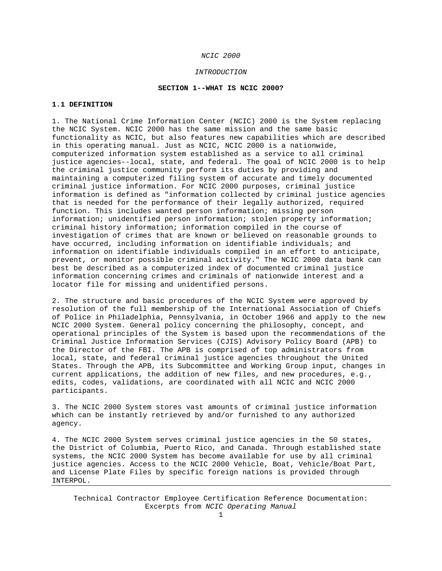### *NCIC 2000*

#### *INTRODUCTION*

### **SECTION 1--WHAT IS NCIC 2000?**

#### **1.1 DEFINITION**

1. The National Crime Information Center (NCIC) 2000 is the System replacing the NCIC System. NCIC 2000 has the same mission and the same basic functionality as NCIC, but also features new capabilities which are described in this operating manual. Just as NCIC, NCIC 2000 is a nationwide, computerized information system established as a service to all criminal justice agencies--local, state, and federal. The goal of NCIC 2000 is to help the criminal justice community perform its duties by providing and maintaining a computerized filing system of accurate and timely documented criminal justice information. For NCIC 2000 purposes, criminal justice information is defined as "information collected by criminal justice agencies that is needed for the performance of their legally authorized, required function. This includes wanted person information; missing person information; unidentified person information; stolen property information; criminal history information; information compiled in the course of investigation of crimes that are known or believed on reasonable grounds to have occurred, including information on identifiable individuals; and information on identifiable individuals compiled in an effort to anticipate, prevent, or monitor possible criminal activity." The NCIC 2000 data bank can best be described as a computerized index of documented criminal justice information concerning crimes and criminals of nationwide interest and a locator file for missing and unidentified persons.

2. The structure and basic procedures of the NCIC System were approved by resolution of the full membership of the International Association of Chiefs of Police in Philadelphia, Pennsylvania, in October 1966 and apply to the new NCIC 2000 System. General policy concerning the philosophy, concept, and operational principles of the System is based upon the recommendations of the Criminal Justice Information Services (CJIS) Advisory Policy Board (APB) to the Director of the FBI. The APB is comprised of top administrators from local, state, and federal criminal justice agencies throughout the United States. Through the APB, its Subcommittee and Working Group input, changes in current applications, the addition of new files, and new procedures, e.g., edits, codes, validations, are coordinated with all NCIC and NCIC 2000 participants.

3. The NCIC 2000 System stores vast amounts of criminal justice information which can be instantly retrieved by and/or furnished to any authorized agency.

4. The NCIC 2000 System serves criminal justice agencies in the 50 states, the District of Columbia, Puerto Rico, and Canada. Through established state systems, the NCIC 2000 System has become available for use by all criminal justice agencies. Access to the NCIC 2000 Vehicle, Boat, Vehicle/Boat Part, and License Plate Files by specific foreign nations is provided through INTERPOL.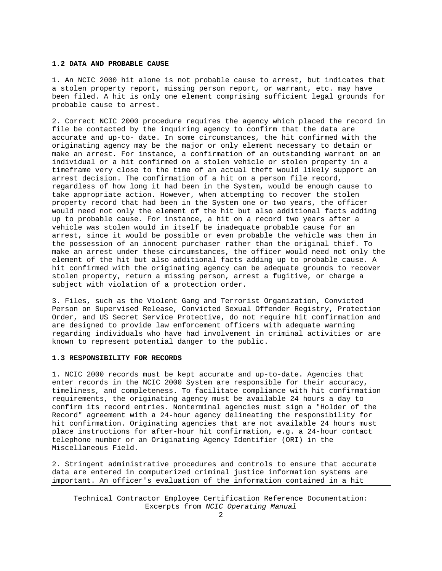### **1.2 DATA AND PROBABLE CAUSE**

1. An NCIC 2000 hit alone is not probable cause to arrest, but indicates that a stolen property report, missing person report, or warrant, etc. may have been filed. A hit is only one element comprising sufficient legal grounds for probable cause to arrest.

2. Correct NCIC 2000 procedure requires the agency which placed the record in file be contacted by the inquiring agency to confirm that the data are accurate and up-to- date. In some circumstances, the hit confirmed with the originating agency may be the major or only element necessary to detain or make an arrest. For instance, a confirmation of an outstanding warrant on an individual or a hit confirmed on a stolen vehicle or stolen property in a timeframe very close to the time of an actual theft would likely support an arrest decision. The confirmation of a hit on a person file record, regardless of how long it had been in the System, would be enough cause to take appropriate action. However, when attempting to recover the stolen property record that had been in the System one or two years, the officer would need not only the element of the hit but also additional facts adding up to probable cause. For instance, a hit on a record two years after a vehicle was stolen would in itself be inadequate probable cause for an arrest, since it would be possible or even probable the vehicle was then in the possession of an innocent purchaser rather than the original thief. To make an arrest under these circumstances, the officer would need not only the element of the hit but also additional facts adding up to probable cause. A hit confirmed with the originating agency can be adequate grounds to recover stolen property, return a missing person, arrest a fugitive, or charge a subject with violation of a protection order.

3. Files, such as the Violent Gang and Terrorist Organization, Convicted Person on Supervised Release, Convicted Sexual Offender Registry, Protection Order, and US Secret Service Protective, do not require hit confirmation and are designed to provide law enforcement officers with adequate warning regarding individuals who have had involvement in criminal activities or are known to represent potential danger to the public.

## **1.3 RESPONSIBILITY FOR RECORDS**

1. NCIC 2000 records must be kept accurate and up-to-date. Agencies that enter records in the NCIC 2000 System are responsible for their accuracy, timeliness, and completeness. To facilitate compliance with hit confirmation requirements, the originating agency must be available 24 hours a day to confirm its record entries. Nonterminal agencies must sign a "Holder of the Record" agreement with a 24-hour agency delineating the responsibility for hit confirmation. Originating agencies that are not available 24 hours must place instructions for after-hour hit confirmation, e.g. a 24-hour contact telephone number or an Originating Agency Identifier (ORI) in the Miscellaneous Field.

2. Stringent administrative procedures and controls to ensure that accurate data are entered in computerized criminal justice information systems are important. An officer's evaluation of the information contained in a hit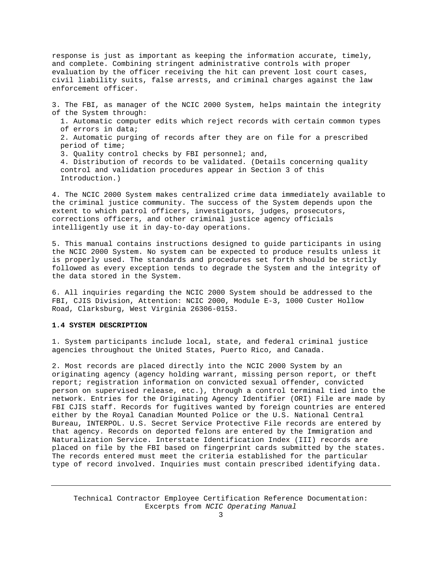response is just as important as keeping the information accurate, timely, and complete. Combining stringent administrative controls with proper evaluation by the officer receiving the hit can prevent lost court cases, civil liability suits, false arrests, and criminal charges against the law enforcement officer.

3. The FBI, as manager of the NCIC 2000 System, helps maintain the integrity of the System through: 1. Automatic computer edits which reject records with certain common types of errors in data; 2. Automatic purging of records after they are on file for a prescribed period of time; 3. Quality control checks by FBI personnel; and, 4. Distribution of records to be validated. (Details concerning quality control and validation procedures appear in Section 3 of this Introduction.)

4. The NCIC 2000 System makes centralized crime data immediately available to the criminal justice community. The success of the System depends upon the extent to which patrol officers, investigators, judges, prosecutors, corrections officers, and other criminal justice agency officials intelligently use it in day-to-day operations.

5. This manual contains instructions designed to guide participants in using the NCIC 2000 System. No system can be expected to produce results unless it is properly used. The standards and procedures set forth should be strictly followed as every exception tends to degrade the System and the integrity of the data stored in the System.

6. All inquiries regarding the NCIC 2000 System should be addressed to the FBI, CJIS Division, Attention: NCIC 2000, Module E-3, 1000 Custer Hollow Road, Clarksburg, West Virginia 26306-0153.

### **1.4 SYSTEM DESCRIPTION**

1. System participants include local, state, and federal criminal justice agencies throughout the United States, Puerto Rico, and Canada.

2. Most records are placed directly into the NCIC 2000 System by an originating agency (agency holding warrant, missing person report, or theft report; registration information on convicted sexual offender, convicted person on supervised release, etc.), through a control terminal tied into the network. Entries for the Originating Agency Identifier (ORI) File are made by FBI CJIS staff. Records for fugitives wanted by foreign countries are entered either by the Royal Canadian Mounted Police or the U.S. National Central Bureau, INTERPOL. U.S. Secret Service Protective File records are entered by that agency. Records on deported felons are entered by the Immigration and Naturalization Service. Interstate Identification Index (III) records are placed on file by the FBI based on fingerprint cards submitted by the states. The records entered must meet the criteria established for the particular type of record involved. Inquiries must contain prescribed identifying data.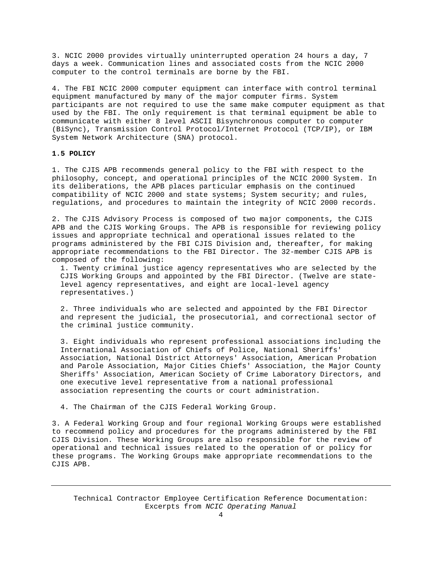3. NCIC 2000 provides virtually uninterrupted operation 24 hours a day, 7 days a week. Communication lines and associated costs from the NCIC 2000 computer to the control terminals are borne by the FBI.

4. The FBI NCIC 2000 computer equipment can interface with control terminal equipment manufactured by many of the major computer firms. System participants are not required to use the same make computer equipment as that used by the FBI. The only requirement is that terminal equipment be able to communicate with either 8 level ASCII Bisynchronous computer to computer (BiSync), Transmission Control Protocol/Internet Protocol (TCP/IP), or IBM System Network Architecture (SNA) protocol.

## **1.5 POLICY**

1. The CJIS APB recommends general policy to the FBI with respect to the philosophy, concept, and operational principles of the NCIC 2000 System. In its deliberations, the APB places particular emphasis on the continued compatibility of NCIC 2000 and state systems; System security; and rules, regulations, and procedures to maintain the integrity of NCIC 2000 records.

2. The CJIS Advisory Process is composed of two major components, the CJIS APB and the CJIS Working Groups. The APB is responsible for reviewing policy issues and appropriate technical and operational issues related to the programs administered by the FBI CJIS Division and, thereafter, for making appropriate recommendations to the FBI Director. The 32-member CJIS APB is composed of the following:

1. Twenty criminal justice agency representatives who are selected by the CJIS Working Groups and appointed by the FBI Director. (Twelve are statelevel agency representatives, and eight are local-level agency representatives.)

2. Three individuals who are selected and appointed by the FBI Director and represent the judicial, the prosecutorial, and correctional sector of the criminal justice community.

3. Eight individuals who represent professional associations including the International Association of Chiefs of Police, National Sheriffs' Association, National District Attorneys' Association, American Probation and Parole Association, Major Cities Chiefs' Association, the Major County Sheriffs' Association, American Society of Crime Laboratory Directors, and one executive level representative from a national professional association representing the courts or court administration.

4. The Chairman of the CJIS Federal Working Group.

3. A Federal Working Group and four regional Working Groups were established to recommend policy and procedures for the programs administered by the FBI CJIS Division. These Working Groups are also responsible for the review of operational and technical issues related to the operation of or policy for these programs. The Working Groups make appropriate recommendations to the CJIS APB.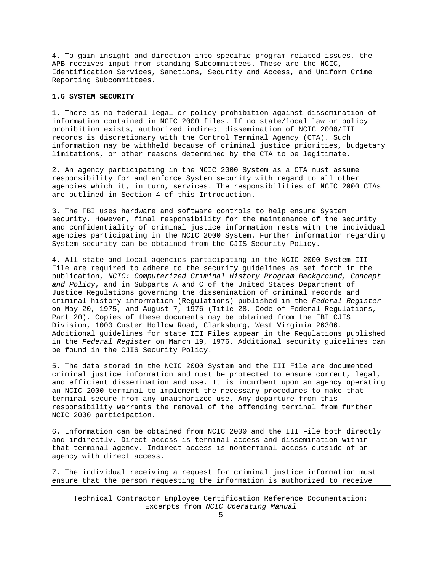4. To gain insight and direction into specific program-related issues, the APB receives input from standing Subcommittees. These are the NCIC, Identification Services, Sanctions, Security and Access, and Uniform Crime Reporting Subcommittees.

#### **1.6 SYSTEM SECURITY**

1. There is no federal legal or policy prohibition against dissemination of information contained in NCIC 2000 files. If no state/local law or policy prohibition exists, authorized indirect dissemination of NCIC 2000/III records is discretionary with the Control Terminal Agency (CTA). Such information may be withheld because of criminal justice priorities, budgetary limitations, or other reasons determined by the CTA to be legitimate.

2. An agency participating in the NCIC 2000 System as a CTA must assume responsibility for and enforce System security with regard to all other agencies which it, in turn, services. The responsibilities of NCIC 2000 CTAs are outlined in Section 4 of this Introduction.

3. The FBI uses hardware and software controls to help ensure System security. However, final responsibility for the maintenance of the security and confidentiality of criminal justice information rests with the individual agencies participating in the NCIC 2000 System. Further information regarding System security can be obtained from the CJIS Security Policy.

4. All state and local agencies participating in the NCIC 2000 System III File are required to adhere to the security guidelines as set forth in the publication, *NCIC: Computerized Criminal History Program Background, Concept and Policy*, and in Subparts A and C of the United States Department of Justice Regulations governing the dissemination of criminal records and criminal history information (Regulations) published in the *Federal Register* on May 20, 1975, and August 7, 1976 (Title 28, Code of Federal Regulations, Part 20). Copies of these documents may be obtained from the FBI CJIS Division, 1000 Custer Hollow Road, Clarksburg, West Virginia 26306. Additional guidelines for state III Files appear in the Regulations published in the *Federal Register* on March 19, 1976. Additional security guidelines can be found in the CJIS Security Policy.

5. The data stored in the NCIC 2000 System and the III File are documented criminal justice information and must be protected to ensure correct, legal, and efficient dissemination and use. It is incumbent upon an agency operating an NCIC 2000 terminal to implement the necessary procedures to make that terminal secure from any unauthorized use. Any departure from this responsibility warrants the removal of the offending terminal from further NCIC 2000 participation.

6. Information can be obtained from NCIC 2000 and the III File both directly and indirectly. Direct access is terminal access and dissemination within that terminal agency. Indirect access is nonterminal access outside of an agency with direct access.

7. The individual receiving a request for criminal justice information must ensure that the person requesting the information is authorized to receive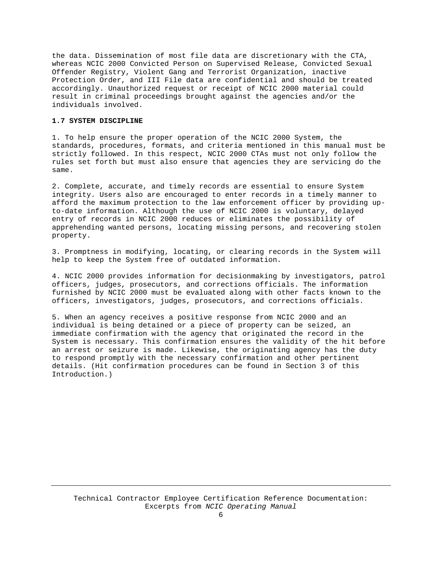the data. Dissemination of most file data are discretionary with the CTA, whereas NCIC 2000 Convicted Person on Supervised Release, Convicted Sexual Offender Registry, Violent Gang and Terrorist Organization, inactive Protection Order, and III File data are confidential and should be treated accordingly. Unauthorized request or receipt of NCIC 2000 material could result in criminal proceedings brought against the agencies and/or the individuals involved.

## **1.7 SYSTEM DISCIPLINE**

1. To help ensure the proper operation of the NCIC 2000 System, the standards, procedures, formats, and criteria mentioned in this manual must be strictly followed. In this respect, NCIC 2000 CTAs must not only follow the rules set forth but must also ensure that agencies they are servicing do the same.

2. Complete, accurate, and timely records are essential to ensure System integrity. Users also are encouraged to enter records in a timely manner to afford the maximum protection to the law enforcement officer by providing upto-date information. Although the use of NCIC 2000 is voluntary, delayed entry of records in NCIC 2000 reduces or eliminates the possibility of apprehending wanted persons, locating missing persons, and recovering stolen property.

3. Promptness in modifying, locating, or clearing records in the System will help to keep the System free of outdated information.

4. NCIC 2000 provides information for decisionmaking by investigators, patrol officers, judges, prosecutors, and corrections officials. The information furnished by NCIC 2000 must be evaluated along with other facts known to the officers, investigators, judges, prosecutors, and corrections officials.

5. When an agency receives a positive response from NCIC 2000 and an individual is being detained or a piece of property can be seized, an immediate confirmation with the agency that originated the record in the System is necessary. This confirmation ensures the validity of the hit before an arrest or seizure is made. Likewise, the originating agency has the duty to respond promptly with the necessary confirmation and other pertinent details. (Hit confirmation procedures can be found in Section 3 of this Introduction.)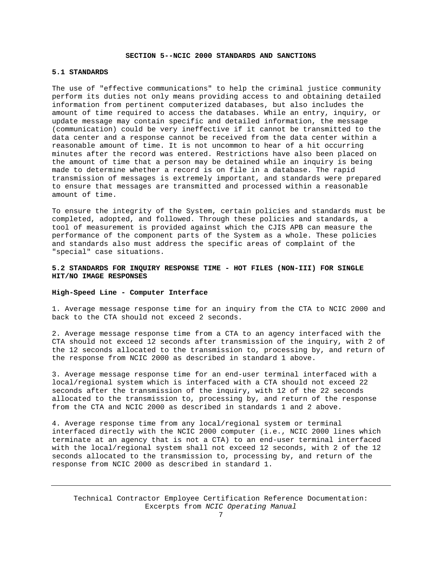### **SECTION 5--NCIC 2000 STANDARDS AND SANCTIONS**

## **5.1 STANDARDS**

The use of "effective communications" to help the criminal justice community perform its duties not only means providing access to and obtaining detailed information from pertinent computerized databases, but also includes the amount of time required to access the databases. While an entry, inquiry, or update message may contain specific and detailed information, the message (communication) could be very ineffective if it cannot be transmitted to the data center and a response cannot be received from the data center within a reasonable amount of time. It is not uncommon to hear of a hit occurring minutes after the record was entered. Restrictions have also been placed on the amount of time that a person may be detained while an inquiry is being made to determine whether a record is on file in a database. The rapid transmission of messages is extremely important, and standards were prepared to ensure that messages are transmitted and processed within a reasonable amount of time.

To ensure the integrity of the System, certain policies and standards must be completed, adopted, and followed. Through these policies and standards, a tool of measurement is provided against which the CJIS APB can measure the performance of the component parts of the System as a whole. These policies and standards also must address the specific areas of complaint of the "special" case situations.

### **5.2 STANDARDS FOR INQUIRY RESPONSE TIME - HOT FILES (NON-III) FOR SINGLE HIT/NO IMAGE RESPONSES**

## **High-Speed Line - Computer Interface**

1. Average message response time for an inquiry from the CTA to NCIC 2000 and back to the CTA should not exceed 2 seconds.

2. Average message response time from a CTA to an agency interfaced with the CTA should not exceed 12 seconds after transmission of the inquiry, with 2 of the 12 seconds allocated to the transmission to, processing by, and return of the response from NCIC 2000 as described in standard 1 above.

3. Average message response time for an end-user terminal interfaced with a local/regional system which is interfaced with a CTA should not exceed 22 seconds after the transmission of the inquiry, with 12 of the 22 seconds allocated to the transmission to, processing by, and return of the response from the CTA and NCIC 2000 as described in standards 1 and 2 above.

4. Average response time from any local/regional system or terminal interfaced directly with the NCIC 2000 computer (i.e., NCIC 2000 lines which terminate at an agency that is not a CTA) to an end-user terminal interfaced with the local/regional system shall not exceed 12 seconds, with 2 of the 12 seconds allocated to the transmission to, processing by, and return of the response from NCIC 2000 as described in standard 1.

Technical Contractor Employee Certification Reference Documentation: Excerpts from *NCIC Operating Manual*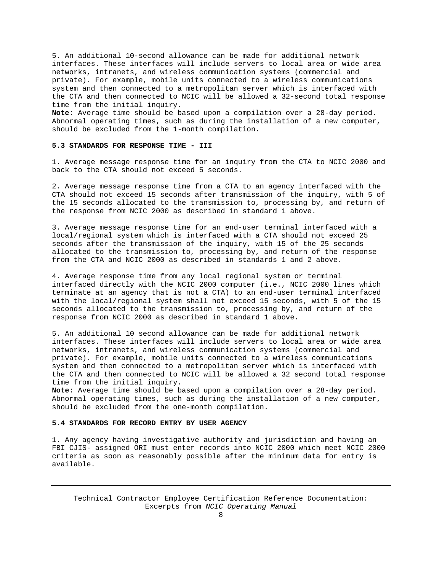5. An additional 10-second allowance can be made for additional network interfaces. These interfaces will include servers to local area or wide area networks, intranets, and wireless communication systems (commercial and private). For example, mobile units connected to a wireless communications system and then connected to a metropolitan server which is interfaced with the CTA and then connected to NCIC will be allowed a 32-second total response time from the initial inquiry.

**Note:** Average time should be based upon a compilation over a 28-day period. Abnormal operating times, such as during the installation of a new computer, should be excluded from the 1-month compilation.

# **5.3 STANDARDS FOR RESPONSE TIME - III**

1. Average message response time for an inquiry from the CTA to NCIC 2000 and back to the CTA should not exceed 5 seconds.

2. Average message response time from a CTA to an agency interfaced with the CTA should not exceed 15 seconds after transmission of the inquiry, with 5 of the 15 seconds allocated to the transmission to, processing by, and return of the response from NCIC 2000 as described in standard 1 above.

3. Average message response time for an end-user terminal interfaced with a local/regional system which is interfaced with a CTA should not exceed 25 seconds after the transmission of the inquiry, with 15 of the 25 seconds allocated to the transmission to, processing by, and return of the response from the CTA and NCIC 2000 as described in standards 1 and 2 above.

4. Average response time from any local regional system or terminal interfaced directly with the NCIC 2000 computer (i.e., NCIC 2000 lines which terminate at an agency that is not a CTA) to an end-user terminal interfaced with the local/regional system shall not exceed 15 seconds, with 5 of the 15 seconds allocated to the transmission to, processing by, and return of the response from NCIC 2000 as described in standard 1 above.

5. An additional 10 second allowance can be made for additional network interfaces. These interfaces will include servers to local area or wide area networks, intranets, and wireless communication systems (commercial and private). For example, mobile units connected to a wireless communications system and then connected to a metropolitan server which is interfaced with the CTA and then connected to NCIC will be allowed a 32 second total response time from the initial inquiry.

**Note:** Average time should be based upon a compilation over a 28-day period. Abnormal operating times, such as during the installation of a new computer, should be excluded from the one-month compilation.

### **5.4 STANDARDS FOR RECORD ENTRY BY USER AGENCY**

1. Any agency having investigative authority and jurisdiction and having an FBI CJIS- assigned ORI must enter records into NCIC 2000 which meet NCIC 2000 criteria as soon as reasonably possible after the minimum data for entry is available.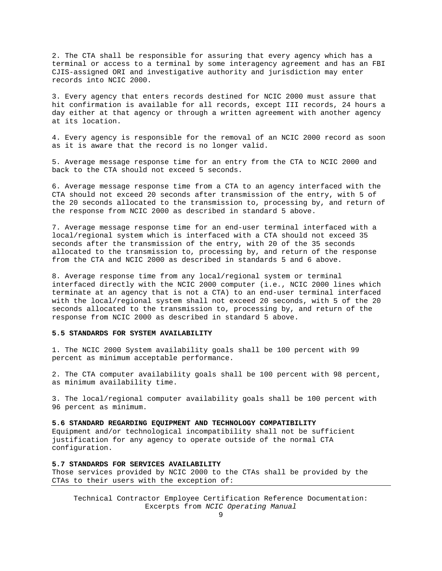2. The CTA shall be responsible for assuring that every agency which has a terminal or access to a terminal by some interagency agreement and has an FBI CJIS-assigned ORI and investigative authority and jurisdiction may enter records into NCIC 2000.

3. Every agency that enters records destined for NCIC 2000 must assure that hit confirmation is available for all records, except III records, 24 hours a day either at that agency or through a written agreement with another agency at its location.

4. Every agency is responsible for the removal of an NCIC 2000 record as soon as it is aware that the record is no longer valid.

5. Average message response time for an entry from the CTA to NCIC 2000 and back to the CTA should not exceed 5 seconds.

6. Average message response time from a CTA to an agency interfaced with the CTA should not exceed 20 seconds after transmission of the entry, with 5 of the 20 seconds allocated to the transmission to, processing by, and return of the response from NCIC 2000 as described in standard 5 above.

7. Average message response time for an end-user terminal interfaced with a local/regional system which is interfaced with a CTA should not exceed 35 seconds after the transmission of the entry, with 20 of the 35 seconds allocated to the transmission to, processing by, and return of the response from the CTA and NCIC 2000 as described in standards 5 and 6 above.

8. Average response time from any local/regional system or terminal interfaced directly with the NCIC 2000 computer (i.e., NCIC 2000 lines which terminate at an agency that is not a CTA) to an end-user terminal interfaced with the local/regional system shall not exceed 20 seconds, with 5 of the 20 seconds allocated to the transmission to, processing by, and return of the response from NCIC 2000 as described in standard 5 above.

## **5.5 STANDARDS FOR SYSTEM AVAILABILITY**

1. The NCIC 2000 System availability goals shall be 100 percent with 99 percent as minimum acceptable performance.

2. The CTA computer availability goals shall be 100 percent with 98 percent, as minimum availability time.

3. The local/regional computer availability goals shall be 100 percent with 96 percent as minimum.

#### **5.6 STANDARD REGARDING EQUIPMENT AND TECHNOLOGY COMPATIBILITY**

Equipment and/or technological incompatibility shall not be sufficient justification for any agency to operate outside of the normal CTA configuration.

## **5.7 STANDARDS FOR SERVICES AVAILABILITY**

Those services provided by NCIC 2000 to the CTAs shall be provided by the CTAs to their users with the exception of: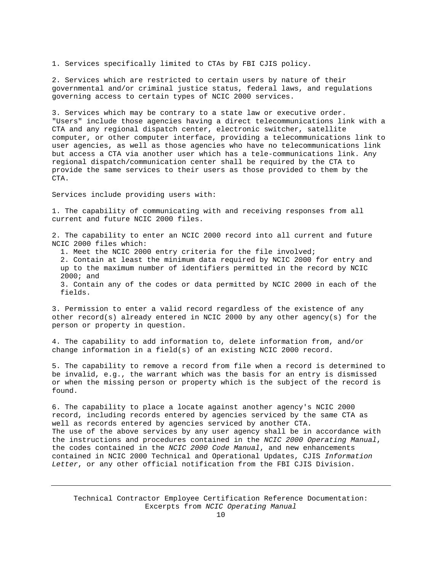1. Services specifically limited to CTAs by FBI CJIS policy.

2. Services which are restricted to certain users by nature of their governmental and/or criminal justice status, federal laws, and regulations governing access to certain types of NCIC 2000 services.

3. Services which may be contrary to a state law or executive order. "Users" include those agencies having a direct telecommunications link with a CTA and any regional dispatch center, electronic switcher, satellite computer, or other computer interface, providing a telecommunications link to user agencies, as well as those agencies who have no telecommunications link but access a CTA via another user which has a tele-communications link. Any regional dispatch/communication center shall be required by the CTA to provide the same services to their users as those provided to them by the CTA.

Services include providing users with:

1. The capability of communicating with and receiving responses from all current and future NCIC 2000 files.

2. The capability to enter an NCIC 2000 record into all current and future NCIC 2000 files which:

1. Meet the NCIC 2000 entry criteria for the file involved;

2. Contain at least the minimum data required by NCIC 2000 for entry and up to the maximum number of identifiers permitted in the record by NCIC 2000; and

3. Contain any of the codes or data permitted by NCIC 2000 in each of the fields.

3. Permission to enter a valid record regardless of the existence of any other record(s) already entered in NCIC 2000 by any other agency(s) for the person or property in question.

4. The capability to add information to, delete information from, and/or change information in a field(s) of an existing NCIC 2000 record.

5. The capability to remove a record from file when a record is determined to be invalid, e.g., the warrant which was the basis for an entry is dismissed or when the missing person or property which is the subject of the record is found.

6. The capability to place a locate against another agency's NCIC 2000 record, including records entered by agencies serviced by the same CTA as well as records entered by agencies serviced by another CTA. The use of the above services by any user agency shall be in accordance with the instructions and procedures contained in the *NCIC 2000 Operating Manual*, the codes contained in the *NCIC 2000 Code Manual*, and new enhancements contained in NCIC 2000 Technical and Operational Updates, CJIS *Information Letter*, or any other official notification from the FBI CJIS Division.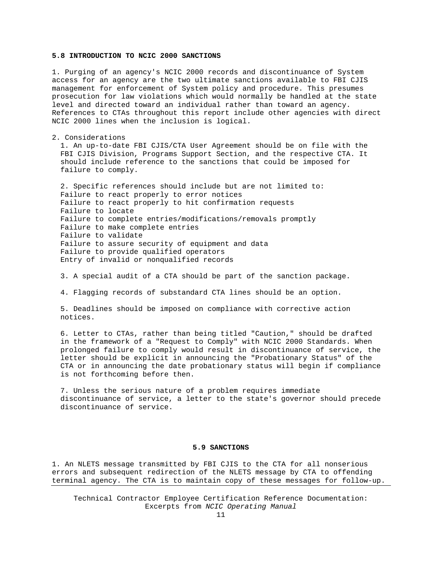## **5.8 INTRODUCTION TO NCIC 2000 SANCTIONS**

1. Purging of an agency's NCIC 2000 records and discontinuance of System access for an agency are the two ultimate sanctions available to FBI CJIS management for enforcement of System policy and procedure. This presumes prosecution for law violations which would normally be handled at the state level and directed toward an individual rather than toward an agency. References to CTAs throughout this report include other agencies with direct NCIC 2000 lines when the inclusion is logical.

2. Considerations

1. An up-to-date FBI CJIS/CTA User Agreement should be on file with the FBI CJIS Division, Programs Support Section, and the respective CTA. It should include reference to the sanctions that could be imposed for failure to comply.

2. Specific references should include but are not limited to: Failure to react properly to error notices Failure to react properly to hit confirmation requests Failure to locate Failure to complete entries/modifications/removals promptly Failure to make complete entries Failure to validate Failure to assure security of equipment and data Failure to provide qualified operators Entry of invalid or nonqualified records

3. A special audit of a CTA should be part of the sanction package.

4. Flagging records of substandard CTA lines should be an option.

5. Deadlines should be imposed on compliance with corrective action notices.

6. Letter to CTAs, rather than being titled "Caution," should be drafted in the framework of a "Request to Comply" with NCIC 2000 Standards. When prolonged failure to comply would result in discontinuance of service, the letter should be explicit in announcing the "Probationary Status" of the CTA or in announcing the date probationary status will begin if compliance is not forthcoming before then.

7. Unless the serious nature of a problem requires immediate discontinuance of service, a letter to the state's governor should precede discontinuance of service.

#### **5.9 SANCTIONS**

1. An NLETS message transmitted by FBI CJIS to the CTA for all nonserious errors and subsequent redirection of the NLETS message by CTA to offending terminal agency. The CTA is to maintain copy of these messages for follow-up.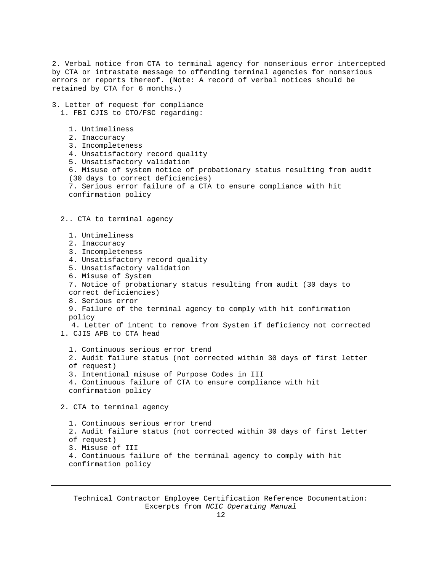2. Verbal notice from CTA to terminal agency for nonserious error intercepted by CTA or intrastate message to offending terminal agencies for nonserious errors or reports thereof. (Note: A record of verbal notices should be retained by CTA for 6 months.) 3. Letter of request for compliance 1. FBI CJIS to CTO/FSC regarding: 1. Untimeliness 2. Inaccuracy 3. Incompleteness 4. Unsatisfactory record quality 5. Unsatisfactory validation 6. Misuse of system notice of probationary status resulting from audit (30 days to correct deficiencies) 7. Serious error failure of a CTA to ensure compliance with hit confirmation policy 2.. CTA to terminal agency 1. Untimeliness 2. Inaccuracy 3. Incompleteness 4. Unsatisfactory record quality 5. Unsatisfactory validation 6. Misuse of System 7. Notice of probationary status resulting from audit (30 days to correct deficiencies) 8. Serious error 9. Failure of the terminal agency to comply with hit confirmation policy 4. Letter of intent to remove from System if deficiency not corrected 1. CJIS APB to CTA head 1. Continuous serious error trend 2. Audit failure status (not corrected within 30 days of first letter of request) 3. Intentional misuse of Purpose Codes in III 4. Continuous failure of CTA to ensure compliance with hit confirmation policy 2. CTA to terminal agency 1. Continuous serious error trend 2. Audit failure status (not corrected within 30 days of first letter of request) 3. Misuse of III 4. Continuous failure of the terminal agency to comply with hit confirmation policy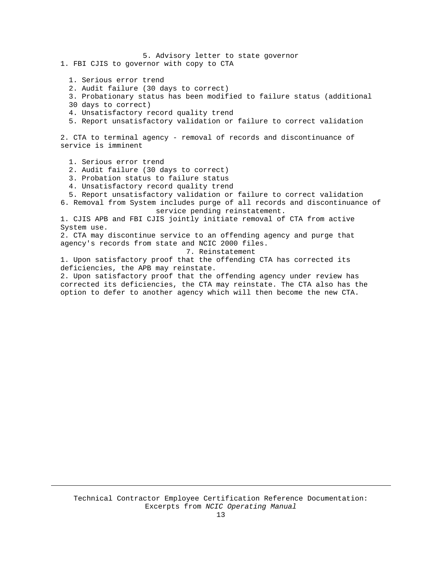5. Advisory letter to state governor 1. FBI CJIS to governor with copy to CTA

- 1. Serious error trend
- 2. Audit failure (30 days to correct)
- 3. Probationary status has been modified to failure status (additional
- 30 days to correct)
- 4. Unsatisfactory record quality trend
- 5. Report unsatisfactory validation or failure to correct validation

2. CTA to terminal agency - removal of records and discontinuance of service is imminent

1. Serious error trend

- 2. Audit failure (30 days to correct)
- 3. Probation status to failure status
- 4. Unsatisfactory record quality trend

5. Report unsatisfactory validation or failure to correct validation 6. Removal from System includes purge of all records and discontinuance of

service pending reinstatement.

1. CJIS APB and FBI CJIS jointly initiate removal of CTA from active System use.

2. CTA may discontinue service to an offending agency and purge that agency's records from state and NCIC 2000 files.

7. Reinstatement

1. Upon satisfactory proof that the offending CTA has corrected its deficiencies, the APB may reinstate.

2. Upon satisfactory proof that the offending agency under review has corrected its deficiencies, the CTA may reinstate. The CTA also has the option to defer to another agency which will then become the new CTA.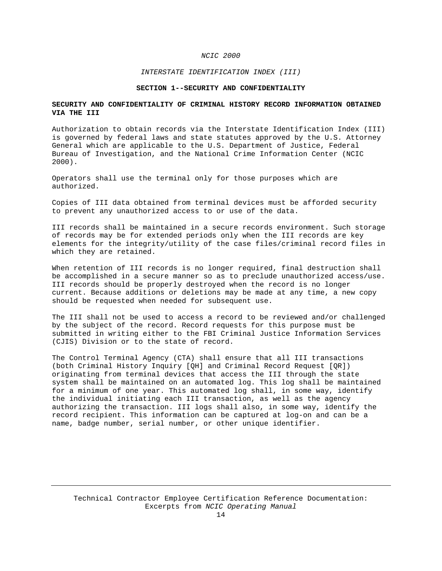### *NCIC 2000*

### *INTERSTATE IDENTIFICATION INDEX (III)*

#### **SECTION 1--SECURITY AND CONFIDENTIALITY**

## **SECURITY AND CONFIDENTIALITY OF CRIMINAL HISTORY RECORD INFORMATION OBTAINED VIA THE III**

Authorization to obtain records via the Interstate Identification Index (III) is governed by federal laws and state statutes approved by the U.S. Attorney General which are applicable to the U.S. Department of Justice, Federal Bureau of Investigation, and the National Crime Information Center (NCIC 2000).

Operators shall use the terminal only for those purposes which are authorized.

Copies of III data obtained from terminal devices must be afforded security to prevent any unauthorized access to or use of the data.

III records shall be maintained in a secure records environment. Such storage of records may be for extended periods only when the III records are key elements for the integrity/utility of the case files/criminal record files in which they are retained.

When retention of III records is no longer required, final destruction shall be accomplished in a secure manner so as to preclude unauthorized access/use. III records should be properly destroyed when the record is no longer current. Because additions or deletions may be made at any time, a new copy should be requested when needed for subsequent use.

The III shall not be used to access a record to be reviewed and/or challenged by the subject of the record. Record requests for this purpose must be submitted in writing either to the FBI Criminal Justice Information Services (CJIS) Division or to the state of record.

The Control Terminal Agency (CTA) shall ensure that all III transactions (both Criminal History Inquiry [QH] and Criminal Record Request [QR]) originating from terminal devices that access the III through the state system shall be maintained on an automated log. This log shall be maintained for a minimum of one year. This automated log shall, in some way, identify the individual initiating each III transaction, as well as the agency authorizing the transaction. III logs shall also, in some way, identify the record recipient. This information can be captured at log-on and can be a name, badge number, serial number, or other unique identifier.